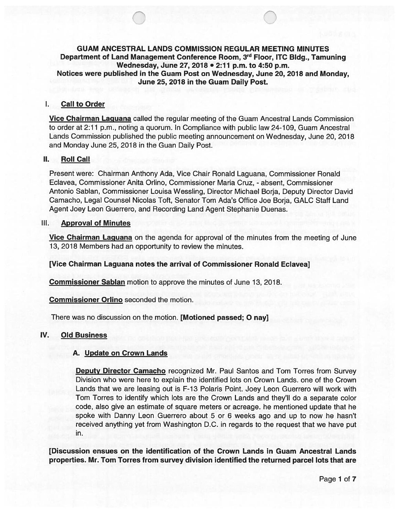# GUAM ANCESTRAL LANDS COMMISSION REGULAR MEETING MINUTES Department of Land Management Conference Room, 3rd Floor, ITC Bldg., Tamuning Wednesday, June 27, 2078 • 2:77 p.m. to 4:50 p.m. Notices were published in the Guam Post on Wednesday, June 20, 2018 and Monday, June 25, 2018 in the Guam Daily Post.

#### Call to Order  $\mathbf{L}$

Vice Chairman Laguana called the regular meeting of the Guam Ancestral Lands Commission to order at 2:11 p.m., noting a quorum. In Compliance with public law 24-109, Guam Ancestral Lands Commission published the public meeting announcement on Wednesday, June 20, 2018 and Monday June 25, 2018 in the Guan Daily Post.

#### П. Roll Call

Present were: Chairman Anthony Ada, Vice Chair Ronald Laguana, Commissioner Ronald Eclavea, Commissioner Anita Orlino, Commissioner Maria Cruz, - absent, Commissioner Antonio Sablan, Commissioner Louisa Wessling, Director Michael Borja, Deputy Director David Camacho, Legal Counsel Nicolas Toft, Senator Tom Ada's Office Joe Borja, GALC Staff Land Agent Joey Leon Guerrero, and Recording Land Agent Stephanie Duenas.

# Ill. Approval of Minutes

Vice Chairman Laguana on the agenda for approval of the minutes from the meeting of June 13, 2018 Members had an opportunity to review the minutes.

## [Vice Chairman Laguana notes the arrival of Commissioner Ronald Eclavea]

Commissioner Sablan motion to approve the minutes of June 13, 2018.

Commissioner Orlino seconded the motion.

There was no discussion on the motion. [Motioned passed; 0 nay]

#### IV. Old Business

## A. Update on Crown Lands

**Deputy Director Camacho** recognized Mr. Paul Santos and Tom Torres from Survey Division who were here to explain the identified lots on Crown Lands. one of the Crown Lands that we are leasing out is F-13 Polaris Point. Joey Leon Guerrero will work with Tom Torres to identify which lots are the Crown Lands and they'll do a separate color code, also give an estimate of square meters or acreage. he mentioned update that he spoke with Danny Leon Guerrero about 5 or 6 weeks ago and up to now he hasn't received anything yet from Washington D.C. in regards to the request that we have put in.

[Discussion ensues on the identification of the Crown Lands in Guam Ancestral Lands properties. Mr. Tom Torres from survey division identified the returned parcel lots that are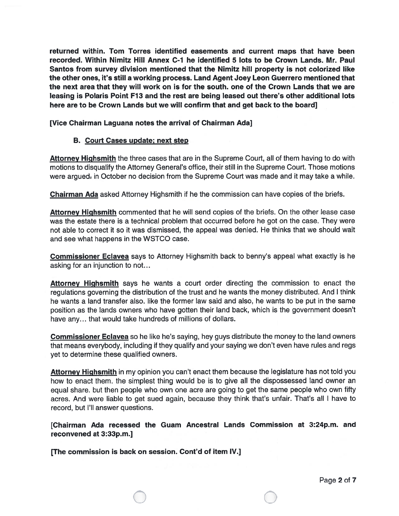returned within. Tom Torres identified easements and current maps that have been recorded. Within Nimitz Hill Annex C-i he identified 5 lots to be Crown Lands. Mr. Paul Santos from survey division mentioned that the Nimitz hill property is not colorized like the other ones, it's still a working process. Land Agent Joey Leon Guerrero mentioned that the next area that they will work on is for the south. one of the Crown Lands that we are leasing is Polaris Point Fi3 and the rest are being leased out there's other additional lots here are to be Crown Lands but we will confirm that and get back to the board]

[Vice Chairman Laguana notes the arrival of Chairman Ada]

## B. Court Cases update; next step

Attorney Highsmith the three cases that are in the Supreme Court, all of them having to do with motions to disqualify the Attorney General's office, their still in the Supreme Court. Those motions were argued- in October no decision from the Supreme Court was made and it may take a while.

Chairman Ada asked Attorney Highsmith if he the commission can have copies of the briefs.

Attorney Highsmith commented that he will send copies of the briefs. On the other lease case was the estate there is <sup>a</sup> technical problem that occurred before he go<sup>t</sup> on the case. They were not able to correct it so it was dismissed, the appeal was denied. He thinks that we should wait and see what happens in the WSTCO case.

Commissioner Eclavea says to Attorney Highsmith back to benny's appeal what exactly is he asking for an injunction to not...

Attorney Highsmith says he wants a court order directing the commission to enact the regulations governing the distribution of the trust and he wants the money distributed. And <sup>I</sup> think he wants <sup>a</sup> land transfer also. like the former law said and also, he wants to be pu<sup>t</sup> in the same position as the lands owners who have gotten their land back, which is the governmen<sup>t</sup> doesn't have any... that would take hundreds of millions of dollars.

**Commissioner Eclavea** so he like he's saying, hey guys distribute the money to the land owners that means everybody, including if they qualify and your saying we don't even have rules and regs ye<sup>t</sup> to determine these qualified owners.

Attorney Highsmith in my opinion you can't enact them because the legislature has not told you how to enact them. the simplest thing would be is to give all the dispossessed land owner an equa<sup>l</sup> share. but then people who own one acre are going to ge<sup>t</sup> the same people who own fifty acres. And were liable to ge<sup>t</sup> sued again, because they think that's unfair. That's all <sup>I</sup> have to record, but I'll answer questions.

[Chairman Ada recessed the Guam Ancestral Lands Commission at 3:24p.m. and reconvened at 3:33p.m.]

[The commission is back on session. Cont'd of item IV.]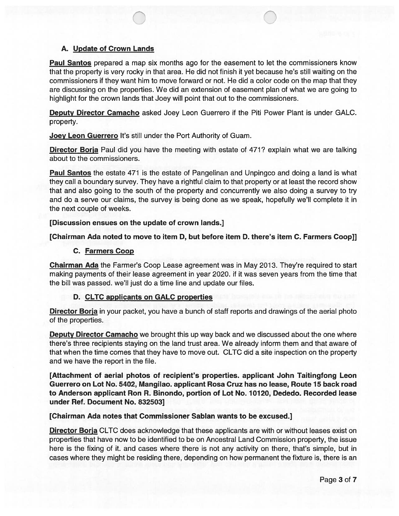## A. Update of Crown Lands

Paul Santos prepared a map six months ago for the easement to let the commissioners know that the property is very rocky in that area. He did not finish it yet because he's still waiting on the commissioners if they want him to move forward or not. He did a color code on the map that they are discussing on the properties. We did an extension of easement plan of what we are going to highlight for the crown lands that Joey will point that out to the commissioners.

Deputy Director Camacho asked Joey Leon Guerrero if the Piti Power Plant is under GALC. property.

Joey Leon Guerrero It's still under the Port Authority of Guam.

Director Borja Paul did you have the meeting with estate of 471? explain what we are talking about to the commissioners.

Paul Santos the estate 471 is the estate of Pangelinan and Unpingco and doing a land is what they call a boundary survey. They have a rightful claim to that property or at least the record show that and also going to the south of the property and concurrently we also doing a survey to try and do a serve our claims, the survey is being done as we speak, hopefully we'll complete it in the next couple of weeks.

#### [Discussion ensues on the update of crown lands.]

[Chairman Ada noted to move to item D, but before item 0. there's item C. Farmers Coop]]

## C. Farmers Coop

Chairman Ada the Farmer's Coop Lease agreement was in May 2013. They're required to start making payments of their lease agreement in year 2020. if it was seven years from the time that the bill was passed. we'll just do a time line and update our files.

## D. CLTC applicants on GALC properties

Director Borja in your packet, you have a bunch of staff reports and drawings of the aerial photo of the properties.

Deputy Director Camacho we brought this up way back and we discussed about the one where there's three recipients staying on the land trust area. We already inform them and that aware of that when the time comes that they have to move out. CLTC did a site inspection on the property and we have the report in the file.

[Attachment of aerial photos of recipient's properties, applicant John Taitingfong Leon Guerrero on Lot No. 5402, Mangilao. applicant Rosa Cruz has no lease, Route 15 back road to Anderson applicant Ron R. Binondo, portion of Lot No. 10120, Dededo. Recorded lease under Ref. Document No. 832503]

## [Chairman Ada notes that Commissioner Sablan wants to be excused.]

**Director Borja** CLTC does acknowledge that these applicants are with or without leases exist on properties that have now to be identified to be on Ancestral Land Commission property, the issue here is the fixing of it. and cases where there is not any activity on there, that's simple, but in cases where they might be residing there, depending on how permanent the fixture is, there is an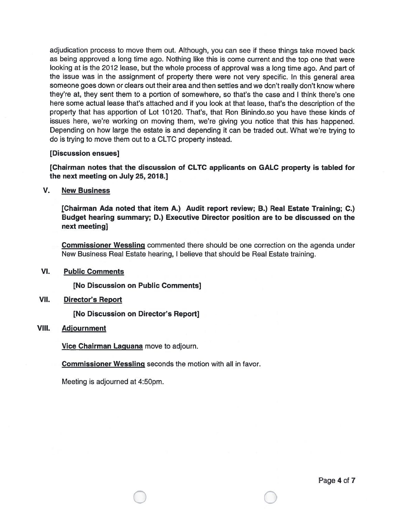adjudication process to move them out. Although, you can see if these things take moved back as being approve<sup>d</sup> <sup>a</sup> long time ago. Nothing like this is come current and the top one that were looking at is the <sup>2012</sup> lease, but the whole process of approva<sup>l</sup> was <sup>a</sup> long time ago. And par<sup>t</sup> of the issue was in the assignment of property there were not very specific. In this genera<sup>l</sup> area someone goes down or clears out their area and then settles and we don't really don't know where they're at, they sent them to <sup>a</sup> portion of somewhere, so that's the case and I think there's one here some actual lease that's attached and if you look at that lease, that's the description of the property that has apportion of Lot 10120. That's, that Ron Binindo.so you have these kinds of issues here, we're working on moving them, we're <sup>g</sup>iving you notice that this has happened. Depending on how large the estate is and depending it can be traded out. What we're trying to do is trying to move them out to <sup>a</sup> CLTC property instead.

## [Discussion ensues]

[Chairman notes that the discussion of CLTC applicants on GALC property is tabled for the next meeting on July 25, 2078.]

V. New Business

IChairman Ada noted that item A.) Audit repor<sup>t</sup> review; B.) Real Estate Training; C.) Budget hearing summary; D.) Executive Director position are to be discussed on the next meeting]

Commissioner Wessling commented there should be one correction on the agenda under New Business Real Estate hearing, I believe that should be Real Estate training.

VI. Public Comments

[No Discussion on Public Comments]

VII. Director's Report

[No Discussion on Director's Report]

# VIII. Adjournment

**Vice Chairman Laguana** move to adjourn.

 $\bigcirc$ 

Commissioner Wessling seconds the motion with all in favor.

Meeting is adjourned at 4:50pm.